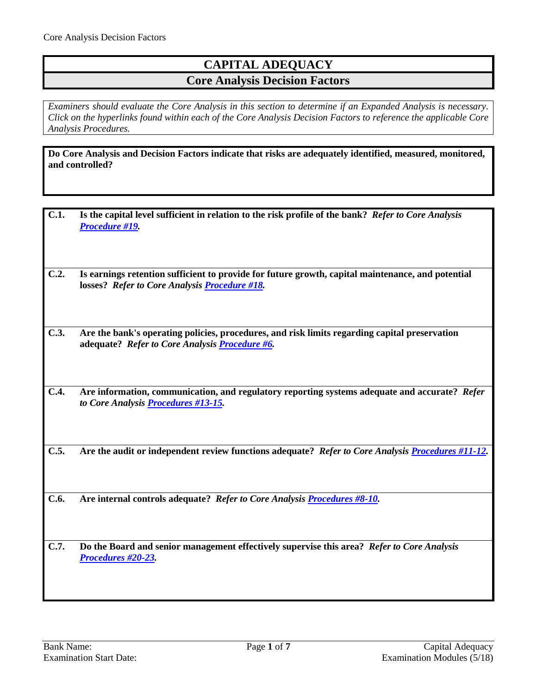# **CAPITAL ADEQUACY Core Analysis Decision Factors**

*Examiners should evaluate the Core Analysis in this section to determine if an Expanded Analysis is necessary. Click on the hyperlinks found within each of the Core Analysis Decision Factors to reference the applicable Core Analysis Procedures.*

**Do Core Analysis and Decision Factors indicate that risks are adequately identified, measured, monitored, and controlled?**

| C.1. | Is the capital level sufficient in relation to the risk profile of the bank? Refer to Core Analysis |  |
|------|-----------------------------------------------------------------------------------------------------|--|
|      | <b>Procedure #19</b>                                                                                |  |

- **C.2. Is earnings retention sufficient to provide for future growth, capital maintenance, and potential losses?** *Refer to Core Analysis [Procedure #18.](#page-4-0)*
- **C.3. Are the bank's operating policies, procedures, and risk limits regarding capital preservation adequate?** *Refer to Core Analysis [Procedure #6.](#page-2-0)*
- **C.4. Are information, communication, and regulatory reporting systems adequate and accurate?** *Refer to Core Analysis [Procedures #13-15.](#page-3-0)*
- **C.5. Are the audit or independent review functions adequate?** *Refer to Core Analysis [Procedures #11-12.](#page-3-1)*
- **C.6. Are internal controls adequate?** *Refer to Core Analysis [Procedures #8-10.](#page-3-2)*

**C.7. Do the Board and senior management effectively supervise this area?** *Refer to Core Analysis [Procedures #20-23.](#page-5-1)*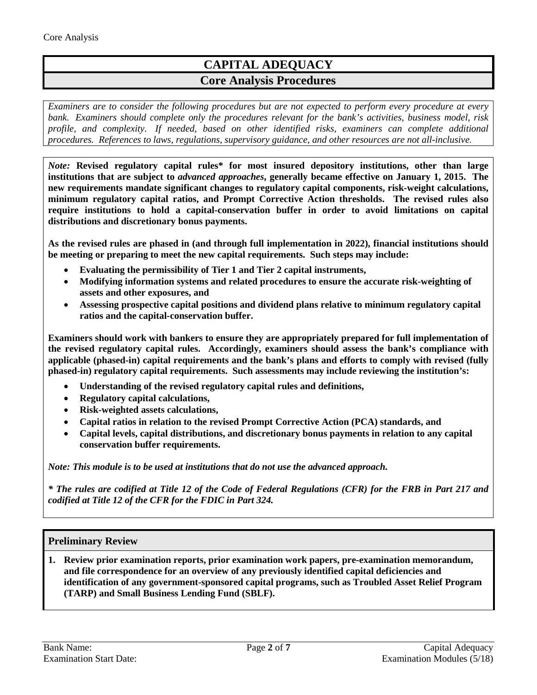# **CAPITAL ADEQUACY Core Analysis Procedures**

*Examiners are to consider the following procedures but are not expected to perform every procedure at every bank. Examiners should complete only the procedures relevant for the bank's activities, business model, risk profile, and complexity. If needed, based on other identified risks, examiners can complete additional procedures. References to laws, regulations, supervisory guidance, and other resources are not all-inclusive.*

*Note:* **Revised regulatory capital rules\* for most insured depository institutions, other than large institutions that are subject to** *advanced approaches***, generally became effective on January 1, 2015. The new requirements mandate significant changes to regulatory capital components, risk-weight calculations, minimum regulatory capital ratios, and Prompt Corrective Action thresholds. The revised rules also require institutions to hold a capital-conservation buffer in order to avoid limitations on capital distributions and discretionary bonus payments.**

**As the revised rules are phased in (and through full implementation in 2022), financial institutions should be meeting or preparing to meet the new capital requirements. Such steps may include:** 

- **Evaluating the permissibility of Tier 1 and Tier 2 capital instruments,**
- **Modifying information systems and related procedures to ensure the accurate risk-weighting of assets and other exposures, and**
- **Assessing prospective capital positions and dividend plans relative to minimum regulatory capital ratios and the capital-conservation buffer.**

**Examiners should work with bankers to ensure they are appropriately prepared for full implementation of the revised regulatory capital rules. Accordingly, examiners should assess the bank's compliance with applicable (phased-in) capital requirements and the bank's plans and efforts to comply with revised (fully phased-in) regulatory capital requirements. Such assessments may include reviewing the institution's:**

- **Understanding of the revised regulatory capital rules and definitions,**
- **Regulatory capital calculations,**
- **Risk-weighted assets calculations,**
- **Capital ratios in relation to the revised Prompt Corrective Action (PCA) standards, and**
- **Capital levels, capital distributions, and discretionary bonus payments in relation to any capital conservation buffer requirements.**

*Note: This module is to be used at institutions that do not use the advanced approach.*

*\* The rules are codified at Title 12 of the Code of Federal Regulations (CFR) for the FRB in Part 217 and codified at Title 12 of the CFR for the FDIC in Part 324.*

### **Preliminary Review**

**1. Review prior examination reports, prior examination work papers, pre-examination memorandum, and file correspondence for an overview of any previously identified capital deficiencies and identification of any government-sponsored capital programs, such as Troubled Asset Relief Program (TARP) and Small Business Lending Fund (SBLF).**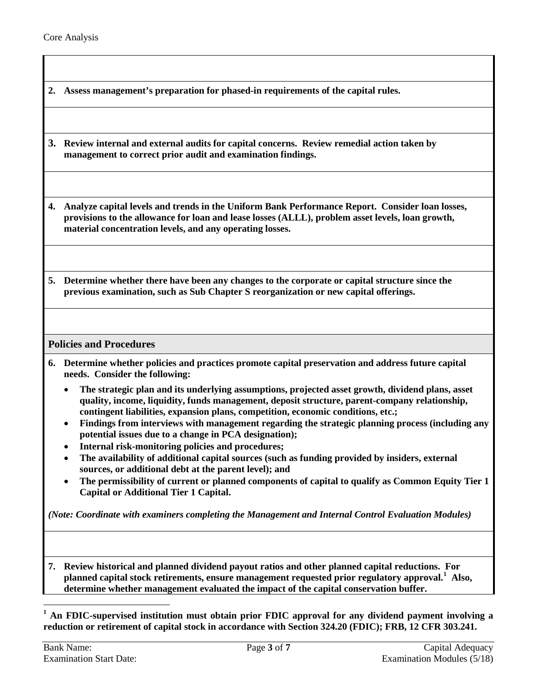**2. Assess management's preparation for phased-in requirements of the capital rules.**

**3. Review internal and external audits for capital concerns. Review remedial action taken by management to correct prior audit and examination findings.**

**4. Analyze capital levels and trends in the Uniform Bank Performance Report. Consider loan losses, provisions to the allowance for loan and lease losses (ALLL), problem asset levels, loan growth, material concentration levels, and any operating losses.**

**5. Determine whether there have been any changes to the corporate or capital structure since the previous examination, such as Sub Chapter S reorganization or new capital offerings.** 

**Policies and Procedures**

- <span id="page-2-0"></span>**6. Determine whether policies and practices promote capital preservation and address future capital needs. Consider the following:**
	- **The strategic plan and its underlying assumptions, projected asset growth, dividend plans, asset quality, income, liquidity, funds management, deposit structure, parent-company relationship, contingent liabilities, expansion plans, competition, economic conditions, etc.;**
	- **Findings from interviews with management regarding the strategic planning process (including any potential issues due to a change in PCA designation);**
	- **Internal risk-monitoring policies and procedures;**
	- **The availability of additional capital sources (such as funding provided by insiders, external sources, or additional debt at the parent level); and**
	- **The permissibility of current or planned components of capital to qualify as Common Equity Tier 1 Capital or Additional Tier 1 Capital.**

*(Note: Coordinate with examiners completing the Management and Internal Control Evaluation Modules)*

**7. Review historical and planned dividend payout ratios and other planned capital reductions. For planned capital stock retirements, ensure management requested prior regulatory approval. [1](#page-2-1) Also, determine whether management evaluated the impact of the capital conservation buffer.**

<span id="page-2-1"></span>**<sup>1</sup> An FDIC-supervised institution must obtain prior FDIC approval for any dividend payment involving a reduction or retirement of capital stock in accordance with Section 324.20 (FDIC); FRB, 12 CFR 303.241.**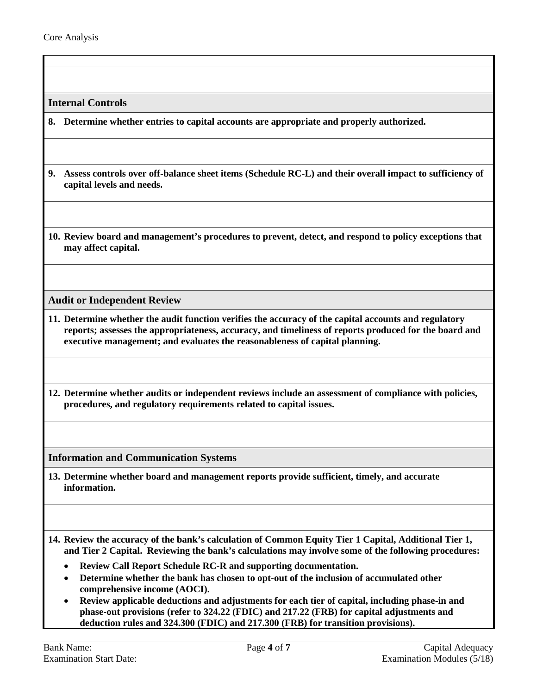<span id="page-3-2"></span>**Internal Controls**

**8. Determine whether entries to capital accounts are appropriate and properly authorized.** 

- **9. Assess controls over off-balance sheet items (Schedule RC-L) and their overall impact to sufficiency of capital levels and needs.**
- **10. Review board and management's procedures to prevent, detect, and respond to policy exceptions that may affect capital.**

<span id="page-3-1"></span>**Audit or Independent Review**

- **11. Determine whether the audit function verifies the accuracy of the capital accounts and regulatory reports; assesses the appropriateness, accuracy, and timeliness of reports produced for the board and executive management; and evaluates the reasonableness of capital planning.**
- **12. Determine whether audits or independent reviews include an assessment of compliance with policies, procedures, and regulatory requirements related to capital issues.**

<span id="page-3-0"></span>**Information and Communication Systems**

**13. Determine whether board and management reports provide sufficient, timely, and accurate information.**

**14. Review the accuracy of the bank's calculation of Common Equity Tier 1 Capital, Additional Tier 1, and Tier 2 Capital. Reviewing the bank's calculations may involve some of the following procedures:**

- **Review Call Report Schedule RC-R and supporting documentation.**
- **Determine whether the bank has chosen to opt-out of the inclusion of accumulated other comprehensive income (AOCI).**
- **Review applicable deductions and adjustments for each tier of capital, including phase-in and phase-out provisions (refer to 324.22 (FDIC) and 217.22 (FRB) for capital adjustments and deduction rules and 324.300 (FDIC) and 217.300 (FRB) for transition provisions).**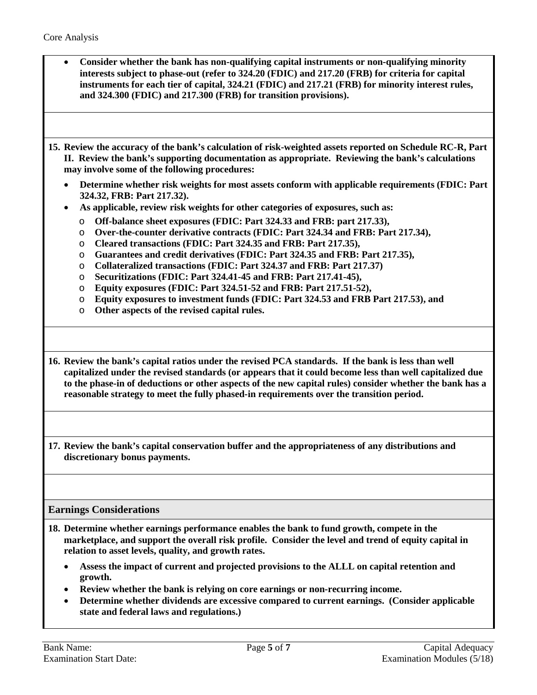- **Consider whether the bank has non-qualifying capital instruments or non-qualifying minority interests subject to phase-out (refer to 324.20 (FDIC) and 217.20 (FRB) for criteria for capital instruments for each tier of capital, 324.21 (FDIC) and 217.21 (FRB) for minority interest rules, and 324.300 (FDIC) and 217.300 (FRB) for transition provisions).**
- **15. Review the accuracy of the bank's calculation of risk-weighted assets reported on Schedule RC-R, Part II. Review the bank's supporting documentation as appropriate. Reviewing the bank's calculations may involve some of the following procedures:**
	- **Determine whether risk weights for most assets conform with applicable requirements (FDIC: Part 324.32, FRB: Part 217.32).**
	- **As applicable, review risk weights for other categories of exposures, such as:**
		- o **Off-balance sheet exposures (FDIC: Part 324.33 and FRB: part 217.33),**
		- o **Over-the-counter derivative contracts (FDIC: Part 324.34 and FRB: Part 217.34),**
		- o **Cleared transactions (FDIC: Part 324.35 and FRB: Part 217.35),**
		- o **Guarantees and credit derivatives (FDIC: Part 324.35 and FRB: Part 217.35),**
		- o **Collateralized transactions (FDIC: Part 324.37 and FRB: Part 217.37)**
		- o **Securitizations (FDIC: Part 324.41-45 and FRB: Part 217.41-45),**
		- o **Equity exposures (FDIC: Part 324.51-52 and FRB: Part 217.51-52),**
		- o **Equity exposures to investment funds (FDIC: Part 324.53 and FRB Part 217.53), and**
		- o **Other aspects of the revised capital rules.**

**16. Review the bank's capital ratios under the revised PCA standards. If the bank is less than well capitalized under the revised standards (or appears that it could become less than well capitalized due to the phase-in of deductions or other aspects of the new capital rules) consider whether the bank has a reasonable strategy to meet the fully phased-in requirements over the transition period.**

**17. Review the bank's capital conservation buffer and the appropriateness of any distributions and discretionary bonus payments.**

### **Earnings Considerations**

- <span id="page-4-0"></span>**18. Determine whether earnings performance enables the bank to fund growth, compete in the marketplace, and support the overall risk profile. Consider the level and trend of equity capital in relation to asset levels, quality, and growth rates.**
	- **Assess the impact of current and projected provisions to the ALLL on capital retention and growth.**
	- **Review whether the bank is relying on core earnings or non-recurring income.**
	- **Determine whether dividends are excessive compared to current earnings. (Consider applicable state and federal laws and regulations.)**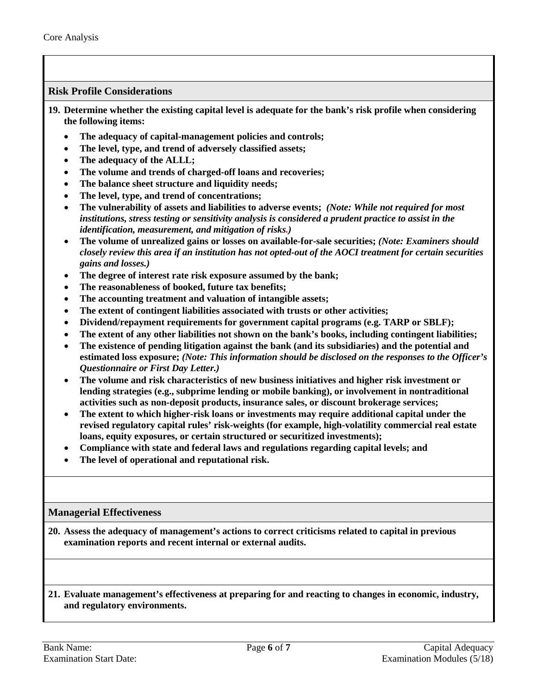## **Risk Profile Considerations**

<span id="page-5-0"></span>**19. Determine whether the existing capital level is adequate for the bank's risk profile when considering the following items:**

- **The adequacy of capital-management policies and controls;**
- **The level, type, and trend of adversely classified assets;**
- **The adequacy of the ALLL;**
- **The volume and trends of charged-off loans and recoveries;**
- **The balance sheet structure and liquidity needs;**
- **The level, type, and trend of concentrations;**
- The vulnerability of assets and liabilities to adverse events; *(Note: While not required for most institutions, stress testing or sensitivity analysis is considered a prudent practice to assist in the identification, measurement, and mitigation of risks.)*
- **The volume of unrealized gains or losses on available-for-sale securities;** *(Note: Examiners should closely review this area if an institution has not opted-out of the AOCI treatment for certain securities gains and losses.)*
- **The degree of interest rate risk exposure assumed by the bank;**
- **The reasonableness of booked, future tax benefits;**
- **The accounting treatment and valuation of intangible assets;**
- **The extent of contingent liabilities associated with trusts or other activities;**
- **Dividend/repayment requirements for government capital programs (e.g. TARP or SBLF);**
- **The extent of any other liabilities not shown on the bank's books, including contingent liabilities;**
- **The existence of pending litigation against the bank (and its subsidiaries) and the potential and estimated loss exposure;** *(Note: This information should be disclosed on the responses to the Officer's Questionnaire or First Day Letter.)*
- **The volume and risk characteristics of new business initiatives and higher risk investment or lending strategies (e.g., subprime lending or mobile banking), or involvement in nontraditional activities such as non-deposit products, insurance sales, or discount brokerage services;**
- **The extent to which higher-risk loans or investments may require additional capital under the revised regulatory capital rules' risk-weights (for example, high-volatility commercial real estate loans, equity exposures, or certain structured or securitized investments);**
- **Compliance with state and federal laws and regulations regarding capital levels; and**
- **The level of operational and reputational risk.**

#### <span id="page-5-1"></span>**Managerial Effectiveness**

**20. Assess the adequacy of management's actions to correct criticisms related to capital in previous examination reports and recent internal or external audits.**

#### **21. Evaluate management's effectiveness at preparing for and reacting to changes in economic, industry, and regulatory environments.**